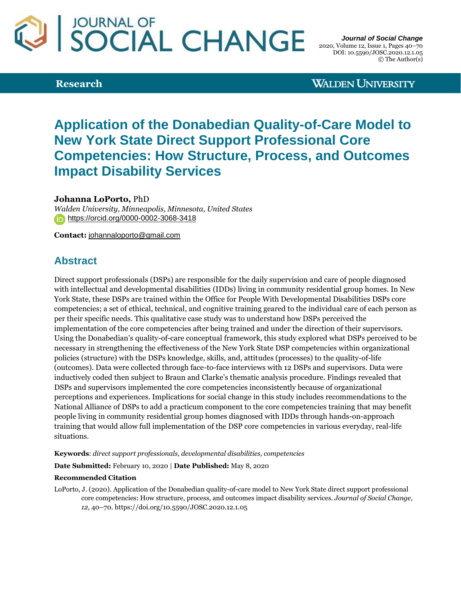# SOCIAL CHANGE

**Research**

*Journal of Social Change* 2020, Volume 12, Issue 1, Pages 40–70 DOI: 10.5590/JOSC.2020.12.1.05 © The Author(s)

**WALDEN UNIVERSITY** 

# **Application of the Donabedian Quality-of-Care Model to New York State Direct Support Professional Core Competencies: How Structure, Process, and Outcomes Impact Disability Services**

**Johanna LoPorto,** PhD

*Walden University, Minneapolis, Minnesota, United States* <https://orcid.org/0000-0002-3068-3418>

**Contact:** [johannaloporto@gmail.com](mailto:johannaloporto@gmail.com)

# **Abstract**

Direct support professionals (DSPs) are responsible for the daily supervision and care of people diagnosed with intellectual and developmental disabilities (IDDs) living in community residential group homes. In New York State, these DSPs are trained within the Office for People With Developmental Disabilities DSPs core competencies; a set of ethical, technical, and cognitive training geared to the individual care of each person as per their specific needs. This qualitative case study was to understand how DSPs perceived the implementation of the core competencies after being trained and under the direction of their supervisors. Using the Donabedian's quality-of-care conceptual framework, this study explored what DSPs perceived to be necessary in strengthening the effectiveness of the New York State DSP competencies within organizational policies (structure) with the DSPs knowledge, skills, and, attitudes (processes) to the quality-of-life (outcomes). Data were collected through face-to-face interviews with 12 DSPs and supervisors. Data were inductively coded then subject to Braun and Clarke's thematic analysis procedure. Findings revealed that DSPs and supervisors implemented the core competencies inconsistently because of organizational perceptions and experiences. Implications for social change in this study includes recommendations to the National Alliance of DSPs to add a practicum component to the core competencies training that may benefit people living in community residential group homes diagnosed with IDDs through hands-on-approach training that would allow full implementation of the DSP core competencies in various everyday, real-life situations.

**Keywords**: *direct support professionals, developmental disabilities, competencies*

**Date Submitted:** February 10, 2020 | **Date Published:** May 8, 2020

#### **Recommended Citation**

LoPorto, J. (2020). Application of the Donabedian quality-of-care model to New York State direct support professional core competencies: How structure, process, and outcomes impact disability services. *Journal of Social Change, 12*, 40–70. https://doi.org/10.5590/JOSC.2020.12.1.05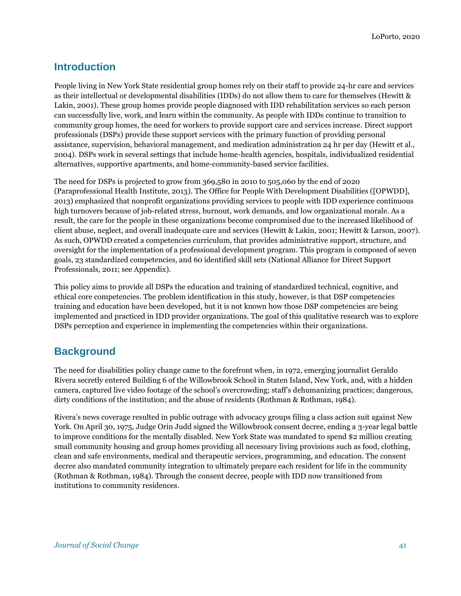# **Introduction**

People living in New York State residential group homes rely on their staff to provide 24-hr care and services as their intellectual or developmental disabilities (IDDs) do not allow them to care for themselves (Hewitt & Lakin, 2001). These group homes provide people diagnosed with IDD rehabilitation services so each person can successfully live, work, and learn within the community. As people with IDDs continue to transition to community group homes, the need for workers to provide support care and services increase. Direct support professionals (DSPs) provide these support services with the primary function of providing personal assistance, supervision, behavioral management, and medication administration 24 hr per day (Hewitt et al., 2004). DSPs work in several settings that include home-health agencies, hospitals, individualized residential alternatives, supportive apartments, and home-community-based service facilities.

The need for DSPs is projected to grow from 369,580 in 2010 to 505,060 by the end of 2020 (Paraprofessional Health Institute, 2013). The Office for People With Development Disabilities ([OPWDD], 2013) emphasized that nonprofit organizations providing services to people with IDD experience continuous high turnovers because of job-related stress, burnout, work demands, and low organizational morale. As a result, the care for the people in these organizations become compromised due to the increased likelihood of client abuse, neglect, and overall inadequate care and services (Hewitt & Lakin, 2001; Hewitt & Larson, 2007). As such, OPWDD created a competencies curriculum, that provides administrative support, structure, and oversight for the implementation of a professional development program. This program is composed of seven goals, 23 standardized competencies, and 60 identified skill sets (National Alliance for Direct Support Professionals, 2011; see Appendix).

This policy aims to provide all DSPs the education and training of standardized technical, cognitive, and ethical core competencies. The problem identification in this study, however, is that DSP competencies training and education have been developed, but it is not known how those DSP competencies are being implemented and practiced in IDD provider organizations. The goal of this qualitative research was to explore DSPs perception and experience in implementing the competencies within their organizations.

# **Background**

The need for disabilities policy change came to the forefront when, in 1972, emerging journalist Geraldo Rivera secretly entered Building 6 of the Willowbrook School in Staten Island, New York, and, with a hidden camera, captured live video footage of the school's overcrowding; staff's dehumanizing practices; dangerous, dirty conditions of the institution; and the abuse of residents (Rothman & Rothman, 1984).

Rivera's news coverage resulted in public outrage with advocacy groups filing a class action suit against New York. On April 30, 1975, Judge Orin Judd signed the Willowbrook consent decree, ending a 3-year legal battle to improve conditions for the mentally disabled. New York State was mandated to spend \$2 million creating small community housing and group homes providing all necessary living provisions such as food, clothing, clean and safe environments, medical and therapeutic services, programming, and education. The consent decree also mandated community integration to ultimately prepare each resident for life in the community (Rothman & Rothman, 1984). Through the consent decree, people with IDD now transitioned from institutions to community residences.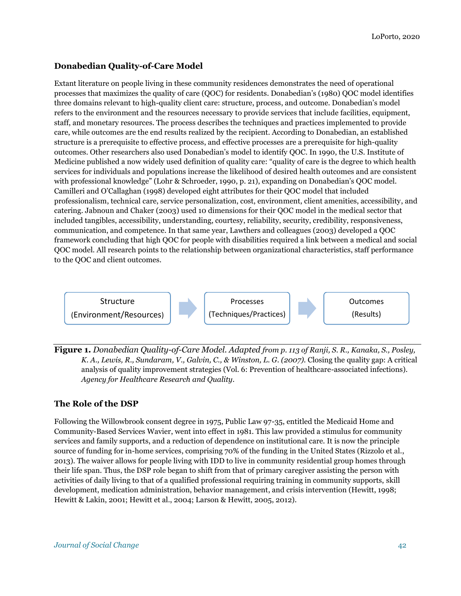# **Donabedian Quality-of-Care Model**

Extant literature on people living in these community residences demonstrates the need of operational processes that maximizes the quality of care (QOC) for residents. Donabedian's (1980) QOC model identifies three domains relevant to high-quality client care: structure, process, and outcome. Donabedian's model refers to the environment and the resources necessary to provide services that include facilities, equipment, staff, and monetary resources. The process describes the techniques and practices implemented to provide care, while outcomes are the end results realized by the recipient. According to Donabedian, an established structure is a prerequisite to effective process, and effective processes are a prerequisite for high-quality outcomes. Other researchers also used Donabedian's model to identify QOC. In 1990, the U.S. Institute of Medicine published a now widely used definition of quality care: "quality of care is the degree to which health services for individuals and populations increase the likelihood of desired health outcomes and are consistent with professional knowledge" (Lohr & Schroeder, 1990, p. 21), expanding on Donabedian's QOC model. Camilleri and O'Callaghan (1998) developed eight attributes for their QOC model that included professionalism, technical care, service personalization, cost, environment, client amenities, accessibility, and catering. Jabnoun and Chaker (2003) used 10 dimensions for their QOC model in the medical sector that included tangibles, accessibility, understanding, courtesy, reliability, security, credibility, responsiveness, communication, and competence. In that same year, Lawthers and colleagues (2003) developed a QOC framework concluding that high QOC for people with disabilities required a link between a medical and social QOC model. All research points to the relationship between organizational characteristics, staff performance to the QOC and client outcomes.



**Figure 1.** *Donabedian Quality-of-Care Model. Adapted from p. 113 of Ranji, S. R., Kanaka, S., Posley, K. A., Lewis, R., Sundaram, V., Galvin, C., & Winston, L. G. (2007).* Closing the quality gap: A critical analysis of quality improvement strategies (Vol. 6: Prevention of healthcare-associated infections)*. Agency for Healthcare Research and Quality.*

# **The Role of the DSP**

Following the Willowbrook consent degree in 1975, Public Law 97-35, entitled the Medicaid Home and Community-Based Services Wavier, went into effect in 1981. This law provided a stimulus for community services and family supports, and a reduction of dependence on institutional care. It is now the principle source of funding for in-home services, comprising 70% of the funding in the United States (Rizzolo et al., 2013). The waiver allows for people living with IDD to live in community residential group homes through their life span. Thus, the DSP role began to shift from that of primary caregiver assisting the person with activities of daily living to that of a qualified professional requiring training in community supports, skill development, medication administration, behavior management, and crisis intervention (Hewitt, 1998; Hewitt & Lakin, 2001; Hewitt et al., 2004; Larson & Hewitt, 2005, 2012).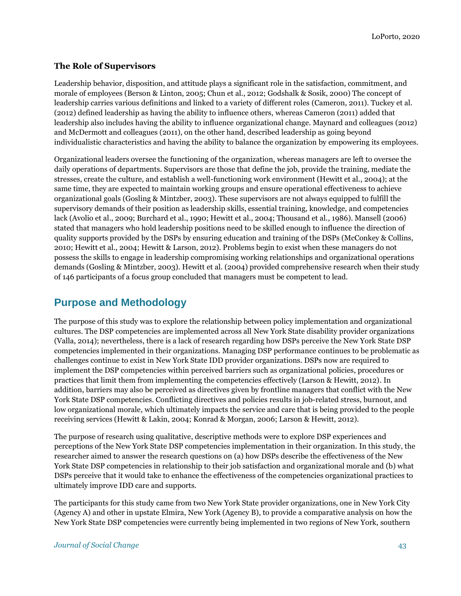# **The Role of Supervisors**

Leadership behavior, disposition, and attitude plays a significant role in the satisfaction, commitment, and morale of employees (Berson & Linton, 2005; Chun et al., 2012; Godshalk & Sosik, 2000) The concept of leadership carries various definitions and linked to a variety of different roles (Cameron, 2011). Tuckey et al. (2012) defined leadership as having the ability to influence others, whereas Cameron (2011) added that leadership also includes having the ability to influence organizational change. Maynard and colleagues (2012) and McDermott and colleagues (2011), on the other hand, described leadership as going beyond individualistic characteristics and having the ability to balance the organization by empowering its employees.

Organizational leaders oversee the functioning of the organization, whereas managers are left to oversee the daily operations of departments. Supervisors are those that define the job, provide the training, mediate the stresses, create the culture, and establish a well-functioning work environment (Hewitt et al., 2004); at the same time, they are expected to maintain working groups and ensure operational effectiveness to achieve organizational goals (Gosling & Mintzber, 2003). These supervisors are not always equipped to fulfill the supervisory demands of their position as leadership skills, essential training, knowledge, and competencies lack (Avolio et al., 2009; Burchard et al., 1990; Hewitt et al., 2004; Thousand et al., 1986). Mansell (2006) stated that managers who hold leadership positions need to be skilled enough to influence the direction of quality supports provided by the DSPs by ensuring education and training of the DSPs (McConkey & Collins, 2010; Hewitt et al., 2004; Hewitt & Larson, 2012). Problems begin to exist when these managers do not possess the skills to engage in leadership compromising working relationships and organizational operations demands (Gosling & Mintzber, 2003). Hewitt et al. (2004) provided comprehensive research when their study of 146 participants of a focus group concluded that managers must be competent to lead.

# **Purpose and Methodology**

The purpose of this study was to explore the relationship between policy implementation and organizational cultures. The DSP competencies are implemented across all New York State disability provider organizations (Valla, 2014); nevertheless, there is a lack of research regarding how DSPs perceive the New York State DSP competencies implemented in their organizations. Managing DSP performance continues to be problematic as challenges continue to exist in New York State IDD provider organizations. DSPs now are required to implement the DSP competencies within perceived barriers such as organizational policies, procedures or practices that limit them from implementing the competencies effectively (Larson & Hewitt, 2012). In addition, barriers may also be perceived as directives given by frontline managers that conflict with the New York State DSP competencies. Conflicting directives and policies results in job-related stress, burnout, and low organizational morale, which ultimately impacts the service and care that is being provided to the people receiving services (Hewitt & Lakin, 2004; Konrad & Morgan, 2006; Larson & Hewitt, 2012).

The purpose of research using qualitative, descriptive methods were to explore DSP experiences and perceptions of the New York State DSP competencies implementation in their organization. In this study, the researcher aimed to answer the research questions on (a) how DSPs describe the effectiveness of the New York State DSP competencies in relationship to their job satisfaction and organizational morale and (b) what DSPs perceive that it would take to enhance the effectiveness of the competencies organizational practices to ultimately improve IDD care and supports.

The participants for this study came from two New York State provider organizations, one in New York City (Agency A) and other in upstate Elmira, New York (Agency B), to provide a comparative analysis on how the New York State DSP competencies were currently being implemented in two regions of New York, southern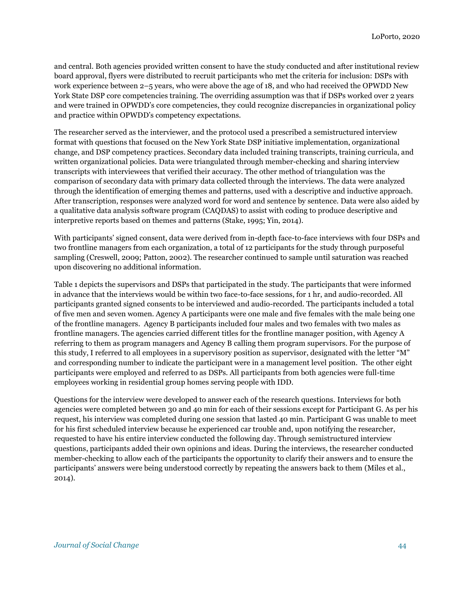and central. Both agencies provided written consent to have the study conducted and after institutional review board approval, flyers were distributed to recruit participants who met the criteria for inclusion: DSPs with work experience between 2–5 years, who were above the age of 18, and who had received the OPWDD New York State DSP core competencies training. The overriding assumption was that if DSPs worked over 2 years and were trained in OPWDD's core competencies, they could recognize discrepancies in organizational policy and practice within OPWDD's competency expectations.

The researcher served as the interviewer, and the protocol used a prescribed a semistructured interview format with questions that focused on the New York State DSP initiative implementation, organizational change, and DSP competency practices. Secondary data included training transcripts, training curricula, and written organizational policies. Data were triangulated through member-checking and sharing interview transcripts with interviewees that verified their accuracy. The other method of triangulation was the comparison of secondary data with primary data collected through the interviews. The data were analyzed through the identification of emerging themes and patterns, used with a descriptive and inductive approach. After transcription, responses were analyzed word for word and sentence by sentence. Data were also aided by a qualitative data analysis software program (CAQDAS) to assist with coding to produce descriptive and interpretive reports based on themes and patterns (Stake, 1995; Yin, 2014).

With participants' signed consent, data were derived from in-depth face-to-face interviews with four DSPs and two frontline managers from each organization, a total of 12 participants for the study through purposeful sampling (Creswell, 2009; Patton, 2002). The researcher continued to sample until saturation was reached upon discovering no additional information.

Table 1 depicts the supervisors and DSPs that participated in the study. The participants that were informed in advance that the interviews would be within two face-to-face sessions, for 1 hr, and audio-recorded. All participants granted signed consents to be interviewed and audio-recorded. The participants included a total of five men and seven women. Agency A participants were one male and five females with the male being one of the frontline managers. Agency B participants included four males and two females with two males as frontline managers. The agencies carried different titles for the frontline manager position, with Agency A referring to them as program managers and Agency B calling them program supervisors. For the purpose of this study, I referred to all employees in a supervisory position as supervisor, designated with the letter "M" and corresponding number to indicate the participant were in a management level position. The other eight participants were employed and referred to as DSPs. All participants from both agencies were full-time employees working in residential group homes serving people with IDD.

Questions for the interview were developed to answer each of the research questions. Interviews for both agencies were completed between 30 and 40 min for each of their sessions except for Participant G. As per his request, his interview was completed during one session that lasted 40 min. Participant G was unable to meet for his first scheduled interview because he experienced car trouble and, upon notifying the researcher, requested to have his entire interview conducted the following day. Through semistructured interview questions, participants added their own opinions and ideas. During the interviews, the researcher conducted member-checking to allow each of the participants the opportunity to clarify their answers and to ensure the participants' answers were being understood correctly by repeating the answers back to them (Miles et al., 2014).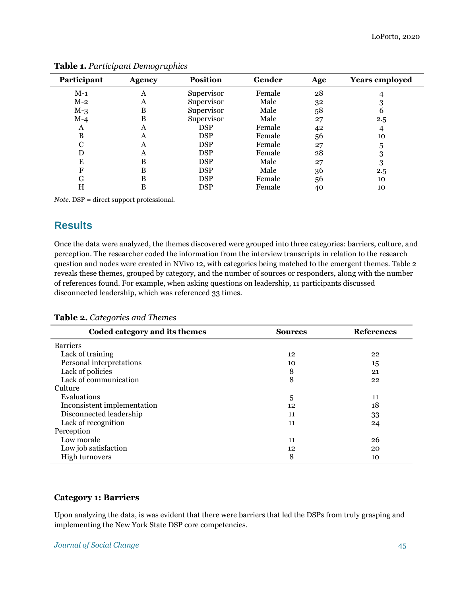| Participant | <b>Agency</b> | <b>Position</b> | Gender | Age | <b>Years employed</b> |
|-------------|---------------|-----------------|--------|-----|-----------------------|
| $M-1$       | A             | Supervisor      | Female | 28  |                       |
| $M-2$       | A             | Supervisor      | Male   | 32  |                       |
| $M-3$       | B             | Supervisor      | Male   | 58  | n                     |
| $M-4$       | B             | Supervisor      | Male   | 27  | $2.5\,$               |
| A           | А             | <b>DSP</b>      | Female | 42  | 4                     |
| B           | Α             | <b>DSP</b>      | Female | 56  | 10                    |
| C           | Α             | <b>DSP</b>      | Female | 27  | 5                     |
|             | Α             | <b>DSP</b>      | Female | 28  | 3                     |
| E           | в             | <b>DSP</b>      | Male   | 27  | 3                     |
| F           | в             | <b>DSP</b>      | Male   | 36  | $2.5\,$               |
| G           | в             | <b>DSP</b>      | Female | 56  | 10                    |
| Н           | B             | <b>DSP</b>      | Female | 40  | 10                    |

**Table 1.** *Participant Demographics*

*Note.* DSP = direct support professional.

# **Results**

Once the data were analyzed, the themes discovered were grouped into three categories: barriers, culture, and perception. The researcher coded the information from the interview transcripts in relation to the research question and nodes were created in NVivo 12, with categories being matched to the emergent themes. Table 2 reveals these themes, grouped by category, and the number of sources or responders, along with the number of references found. For example, when asking questions on leadership, 11 participants discussed disconnected leadership, which was referenced 33 times.

| Coded category and its themes | <b>Sources</b> | <b>References</b> |
|-------------------------------|----------------|-------------------|
| <b>Barriers</b>               |                |                   |
| Lack of training              | 12             | 22                |
| Personal interpretations      | 10             | 15                |
| Lack of policies              | 8              | 21                |
| Lack of communication         | 8              | 22                |
| Culture                       |                |                   |
| Evaluations                   | 5              | 11                |
| Inconsistent implementation   | 12             | 18                |
| Disconnected leadership       | 11             | 33                |
| Lack of recognition           | 11             | 24                |
| Perception                    |                |                   |
| Low morale                    | 11             | 26                |
| Low job satisfaction          | 12             | 20                |
| <b>High turnovers</b>         | 8              | 10                |

# **Category 1: Barriers**

Upon analyzing the data, is was evident that there were barriers that led the DSPs from truly grasping and implementing the New York State DSP core competencies.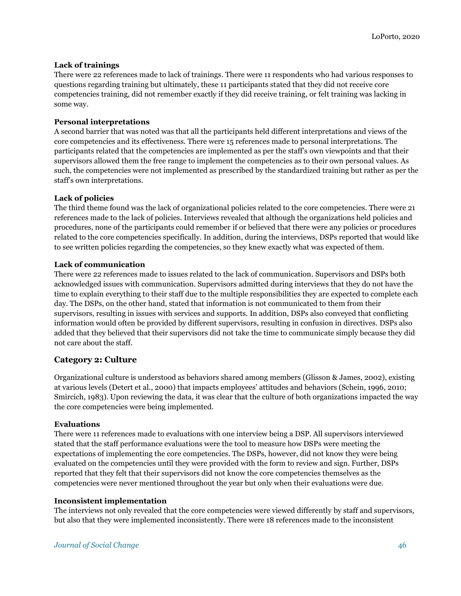## **Lack of trainings**

There were 22 references made to lack of trainings. There were 11 respondents who had various responses to questions regarding training but ultimately, these 11 participants stated that they did not receive core competencies training, did not remember exactly if they did receive training, or felt training was lacking in some way.

## **Personal interpretations**

A second barrier that was noted was that all the participants held different interpretations and views of the core competencies and its effectiveness. There were 15 references made to personal interpretations. The participants related that the competencies are implemented as per the staff's own viewpoints and that their supervisors allowed them the free range to implement the competencies as to their own personal values. As such, the competencies were not implemented as prescribed by the standardized training but rather as per the staff's own interpretations.

## **Lack of policies**

The third theme found was the lack of organizational policies related to the core competencies. There were 21 references made to the lack of policies. Interviews revealed that although the organizations held policies and procedures, none of the participants could remember if or believed that there were any policies or procedures related to the core competencies specifically. In addition, during the interviews, DSPs reported that would like to see written policies regarding the competencies, so they knew exactly what was expected of them.

## **Lack of communication**

There were 22 references made to issues related to the lack of communication. Supervisors and DSPs both acknowledged issues with communication. Supervisors admitted during interviews that they do not have the time to explain everything to their staff due to the multiple responsibilities they are expected to complete each day. The DSPs, on the other hand, stated that information is not communicated to them from their supervisors, resulting in issues with services and supports. In addition, DSPs also conveyed that conflicting information would often be provided by different supervisors, resulting in confusion in directives. DSPs also added that they believed that their supervisors did not take the time to communicate simply because they did not care about the staff.

# **Category 2: Culture**

Organizational culture is understood as behaviors shared among members (Glisson & James, 2002), existing at various levels (Detert et al., 2000) that impacts employees' attitudes and behaviors (Schein, 1996, 2010; Smircich, 1983). Upon reviewing the data, it was clear that the culture of both organizations impacted the way the core competencies were being implemented.

#### **Evaluations**

There were 11 references made to evaluations with one interview being a DSP. All supervisors interviewed stated that the staff performance evaluations were the tool to measure how DSPs were meeting the expectations of implementing the core competencies. The DSPs, however, did not know they were being evaluated on the competencies until they were provided with the form to review and sign. Further, DSPs reported that they felt that their supervisors did not know the core competencies themselves as the competencies were never mentioned throughout the year but only when their evaluations were due.

#### **Inconsistent implementation**

The interviews not only revealed that the core competencies were viewed differently by staff and supervisors, but also that they were implemented inconsistently. There were 18 references made to the inconsistent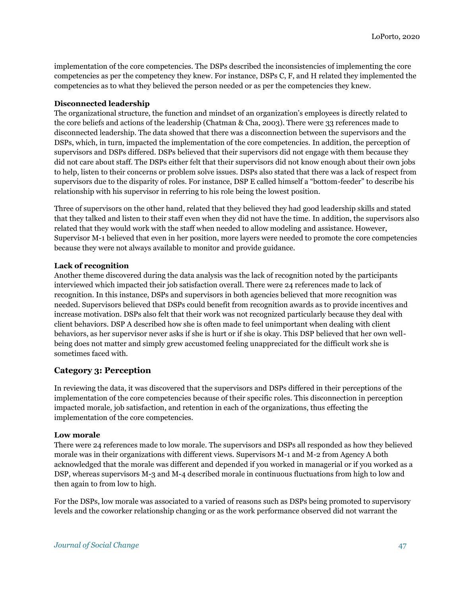implementation of the core competencies. The DSPs described the inconsistencies of implementing the core competencies as per the competency they knew. For instance, DSPs C, F, and H related they implemented the competencies as to what they believed the person needed or as per the competencies they knew.

## **Disconnected leadership**

The organizational structure, the function and mindset of an organization's employees is directly related to the core beliefs and actions of the leadership (Chatman & Cha, 2003). There were 33 references made to disconnected leadership. The data showed that there was a disconnection between the supervisors and the DSPs, which, in turn, impacted the implementation of the core competencies. In addition, the perception of supervisors and DSPs differed. DSPs believed that their supervisors did not engage with them because they did not care about staff. The DSPs either felt that their supervisors did not know enough about their own jobs to help, listen to their concerns or problem solve issues. DSPs also stated that there was a lack of respect from supervisors due to the disparity of roles. For instance, DSP E called himself a "bottom-feeder" to describe his relationship with his supervisor in referring to his role being the lowest position.

Three of supervisors on the other hand, related that they believed they had good leadership skills and stated that they talked and listen to their staff even when they did not have the time. In addition, the supervisors also related that they would work with the staff when needed to allow modeling and assistance. However, Supervisor M-1 believed that even in her position, more layers were needed to promote the core competencies because they were not always available to monitor and provide guidance.

## **Lack of recognition**

Another theme discovered during the data analysis was the lack of recognition noted by the participants interviewed which impacted their job satisfaction overall. There were 24 references made to lack of recognition. In this instance, DSPs and supervisors in both agencies believed that more recognition was needed. Supervisors believed that DSPs could benefit from recognition awards as to provide incentives and increase motivation. DSPs also felt that their work was not recognized particularly because they deal with client behaviors. DSP A described how she is often made to feel unimportant when dealing with client behaviors, as her supervisor never asks if she is hurt or if she is okay. This DSP believed that her own wellbeing does not matter and simply grew accustomed feeling unappreciated for the difficult work she is sometimes faced with.

# **Category 3: Perception**

In reviewing the data, it was discovered that the supervisors and DSPs differed in their perceptions of the implementation of the core competencies because of their specific roles. This disconnection in perception impacted morale, job satisfaction, and retention in each of the organizations, thus effecting the implementation of the core competencies.

#### **Low morale**

There were 24 references made to low morale. The supervisors and DSPs all responded as how they believed morale was in their organizations with different views. Supervisors M-1 and M-2 from Agency A both acknowledged that the morale was different and depended if you worked in managerial or if you worked as a DSP, whereas supervisors M-3 and M-4 described morale in continuous fluctuations from high to low and then again to from low to high.

For the DSPs, low morale was associated to a varied of reasons such as DSPs being promoted to supervisory levels and the coworker relationship changing or as the work performance observed did not warrant the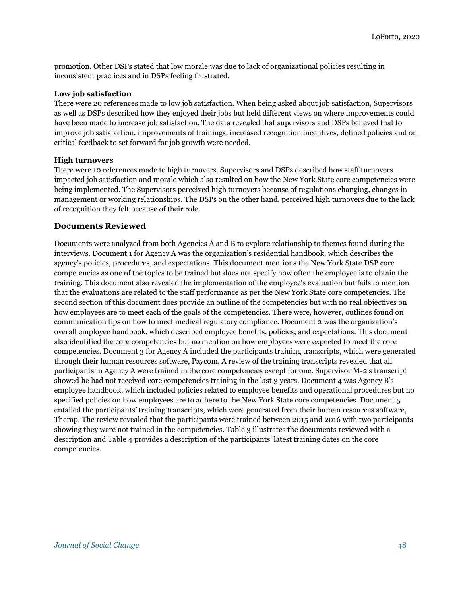promotion. Other DSPs stated that low morale was due to lack of organizational policies resulting in inconsistent practices and in DSPs feeling frustrated.

#### **Low job satisfaction**

There were 20 references made to low job satisfaction. When being asked about job satisfaction, Supervisors as well as DSPs described how they enjoyed their jobs but held different views on where improvements could have been made to increase job satisfaction. The data revealed that supervisors and DSPs believed that to improve job satisfaction, improvements of trainings, increased recognition incentives, defined policies and on critical feedback to set forward for job growth were needed.

## **High turnovers**

There were 10 references made to high turnovers. Supervisors and DSPs described how staff turnovers impacted job satisfaction and morale which also resulted on how the New York State core competencies were being implemented. The Supervisors perceived high turnovers because of regulations changing, changes in management or working relationships. The DSPs on the other hand, perceived high turnovers due to the lack of recognition they felt because of their role.

# **Documents Reviewed**

Documents were analyzed from both Agencies A and B to explore relationship to themes found during the interviews. Document 1 for Agency A was the organization's residential handbook, which describes the agency's policies, procedures, and expectations. This document mentions the New York State DSP core competencies as one of the topics to be trained but does not specify how often the employee is to obtain the training. This document also revealed the implementation of the employee's evaluation but fails to mention that the evaluations are related to the staff performance as per the New York State core competencies. The second section of this document does provide an outline of the competencies but with no real objectives on how employees are to meet each of the goals of the competencies. There were, however, outlines found on communication tips on how to meet medical regulatory compliance. Document 2 was the organization's overall employee handbook, which described employee benefits, policies, and expectations. This document also identified the core competencies but no mention on how employees were expected to meet the core competencies. Document 3 for Agency A included the participants training transcripts, which were generated through their human resources software, Paycom. A review of the training transcripts revealed that all participants in Agency A were trained in the core competencies except for one. Supervisor M-2's transcript showed he had not received core competencies training in the last 3 years. Document 4 was Agency B's employee handbook, which included policies related to employee benefits and operational procedures but no specified policies on how employees are to adhere to the New York State core competencies. Document 5 entailed the participants' training transcripts, which were generated from their human resources software, Therap. The review revealed that the participants were trained between 2015 and 2016 with two participants showing they were not trained in the competencies. Table 3 illustrates the documents reviewed with a description and Table 4 provides a description of the participants' latest training dates on the core competencies.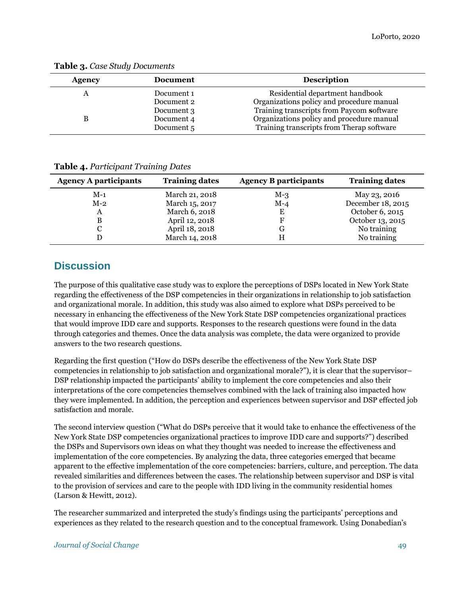| <b>Agency</b> | <b>Document</b> | <b>Description</b>                        |
|---------------|-----------------|-------------------------------------------|
|               | Document 1      | Residential department handbook           |
|               | Document 2      | Organizations policy and procedure manual |
|               | Document 3      | Training transcripts from Paycom software |
|               | Document 4      | Organizations policy and procedure manual |
|               | Document 5      | Training transcripts from Therap software |

**Table 3.** *Case Study Documents*

|  |  | <b>Table 4. Participant Training Dates</b> |
|--|--|--------------------------------------------|
|--|--|--------------------------------------------|

| <b>Agency A participants</b> | <b>Training dates</b> | <b>Agency B participants</b> | <b>Training dates</b> |
|------------------------------|-----------------------|------------------------------|-----------------------|
| $M-1$                        | March 21, 2018        | $M-3$                        | May 23, 2016          |
| $M-2$                        | March 15, 2017        | $M-4$                        | December 18, 2015     |
| А                            | March 6, 2018         | Ε                            | October 6, 2015       |
| B                            | April 12, 2018        | F                            | October 13, 2015      |
|                              | April 18, 2018        | G                            | No training           |
|                              | March 14, 2018        | H                            | No training           |

# **Discussion**

The purpose of this qualitative case study was to explore the perceptions of DSPs located in New York State regarding the effectiveness of the DSP competencies in their organizations in relationship to job satisfaction and organizational morale. In addition, this study was also aimed to explore what DSPs perceived to be necessary in enhancing the effectiveness of the New York State DSP competencies organizational practices that would improve IDD care and supports. Responses to the research questions were found in the data through categories and themes. Once the data analysis was complete, the data were organized to provide answers to the two research questions.

Regarding the first question ("How do DSPs describe the effectiveness of the New York State DSP competencies in relationship to job satisfaction and organizational morale?"), it is clear that the supervisor– DSP relationship impacted the participants' ability to implement the core competencies and also their interpretations of the core competencies themselves combined with the lack of training also impacted how they were implemented. In addition, the perception and experiences between supervisor and DSP effected job satisfaction and morale.

The second interview question ("What do DSPs perceive that it would take to enhance the effectiveness of the New York State DSP competencies organizational practices to improve IDD care and supports?") described the DSPs and Supervisors own ideas on what they thought was needed to increase the effectiveness and implementation of the core competencies. By analyzing the data, three categories emerged that became apparent to the effective implementation of the core competencies: barriers, culture, and perception. The data revealed similarities and differences between the cases. The relationship between supervisor and DSP is vital to the provision of services and care to the people with IDD living in the community residential homes (Larson & Hewitt, 2012).

The researcher summarized and interpreted the study's findings using the participants' perceptions and experiences as they related to the research question and to the conceptual framework. Using Donabedian's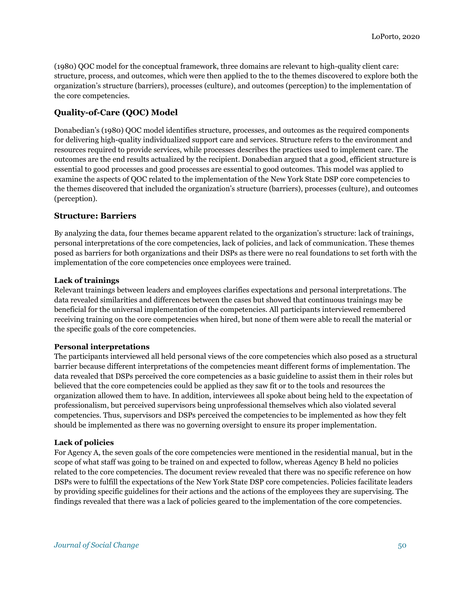(1980) QOC model for the conceptual framework, three domains are relevant to high-quality client care: structure, process, and outcomes, which were then applied to the to the themes discovered to explore both the organization's structure (barriers), processes (culture), and outcomes (perception) to the implementation of the core competencies.

# **Quality-of-Care (QOC) Model**

Donabedian's (1980) QOC model identifies structure, processes, and outcomes as the required components for delivering high-quality individualized support care and services. Structure refers to the environment and resources required to provide services, while processes describes the practices used to implement care. The outcomes are the end results actualized by the recipient. Donabedian argued that a good, efficient structure is essential to good processes and good processes are essential to good outcomes. This model was applied to examine the aspects of QOC related to the implementation of the New York State DSP core competencies to the themes discovered that included the organization's structure (barriers), processes (culture), and outcomes (perception).

## **Structure: Barriers**

By analyzing the data, four themes became apparent related to the organization's structure: lack of trainings, personal interpretations of the core competencies, lack of policies, and lack of communication. These themes posed as barriers for both organizations and their DSPs as there were no real foundations to set forth with the implementation of the core competencies once employees were trained.

#### **Lack of trainings**

Relevant trainings between leaders and employees clarifies expectations and personal interpretations. The data revealed similarities and differences between the cases but showed that continuous trainings may be beneficial for the universal implementation of the competencies. All participants interviewed remembered receiving training on the core competencies when hired, but none of them were able to recall the material or the specific goals of the core competencies.

#### **Personal interpretations**

The participants interviewed all held personal views of the core competencies which also posed as a structural barrier because different interpretations of the competencies meant different forms of implementation. The data revealed that DSPs perceived the core competencies as a basic guideline to assist them in their roles but believed that the core competencies could be applied as they saw fit or to the tools and resources the organization allowed them to have. In addition, interviewees all spoke about being held to the expectation of professionalism, but perceived supervisors being unprofessional themselves which also violated several competencies. Thus, supervisors and DSPs perceived the competencies to be implemented as how they felt should be implemented as there was no governing oversight to ensure its proper implementation.

#### **Lack of policies**

For Agency A, the seven goals of the core competencies were mentioned in the residential manual, but in the scope of what staff was going to be trained on and expected to follow, whereas Agency B held no policies related to the core competencies. The document review revealed that there was no specific reference on how DSPs were to fulfill the expectations of the New York State DSP core competencies. Policies facilitate leaders by providing specific guidelines for their actions and the actions of the employees they are supervising. The findings revealed that there was a lack of policies geared to the implementation of the core competencies.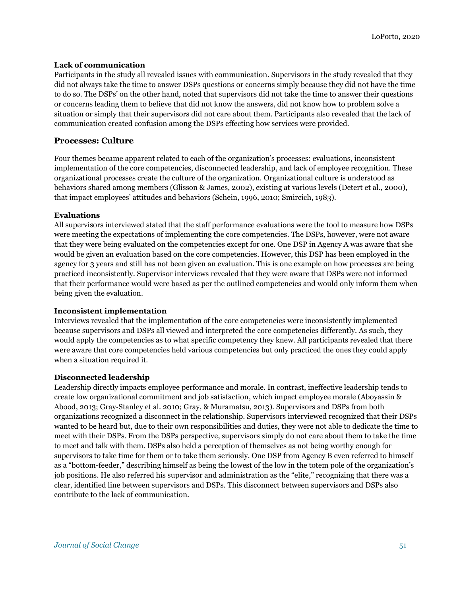#### **Lack of communication**

Participants in the study all revealed issues with communication. Supervisors in the study revealed that they did not always take the time to answer DSPs questions or concerns simply because they did not have the time to do so. The DSPs' on the other hand, noted that supervisors did not take the time to answer their questions or concerns leading them to believe that did not know the answers, did not know how to problem solve a situation or simply that their supervisors did not care about them. Participants also revealed that the lack of communication created confusion among the DSPs effecting how services were provided.

# **Processes: Culture**

Four themes became apparent related to each of the organization's processes: evaluations, inconsistent implementation of the core competencies, disconnected leadership, and lack of employee recognition. These organizational processes create the culture of the organization. Organizational culture is understood as behaviors shared among members (Glisson & James, 2002), existing at various levels (Detert et al., 2000), that impact employees' attitudes and behaviors (Schein, 1996, 2010; Smircich, 1983).

#### **Evaluations**

All supervisors interviewed stated that the staff performance evaluations were the tool to measure how DSPs were meeting the expectations of implementing the core competencies. The DSPs, however, were not aware that they were being evaluated on the competencies except for one. One DSP in Agency A was aware that she would be given an evaluation based on the core competencies. However, this DSP has been employed in the agency for 3 years and still has not been given an evaluation. This is one example on how processes are being practiced inconsistently. Supervisor interviews revealed that they were aware that DSPs were not informed that their performance would were based as per the outlined competencies and would only inform them when being given the evaluation.

#### **Inconsistent implementation**

Interviews revealed that the implementation of the core competencies were inconsistently implemented because supervisors and DSPs all viewed and interpreted the core competencies differently. As such, they would apply the competencies as to what specific competency they knew. All participants revealed that there were aware that core competencies held various competencies but only practiced the ones they could apply when a situation required it.

#### **Disconnected leadership**

Leadership directly impacts employee performance and morale. In contrast, ineffective leadership tends to create low organizational commitment and job satisfaction, which impact employee morale (Aboyassin & Abood, 2013; Gray‐Stanley et al. 2010; Gray, & Muramatsu, 2013). Supervisors and DSPs from both organizations recognized a disconnect in the relationship. Supervisors interviewed recognized that their DSPs wanted to be heard but, due to their own responsibilities and duties, they were not able to dedicate the time to meet with their DSPs. From the DSPs perspective, supervisors simply do not care about them to take the time to meet and talk with them. DSPs also held a perception of themselves as not being worthy enough for supervisors to take time for them or to take them seriously. One DSP from Agency B even referred to himself as a "bottom-feeder," describing himself as being the lowest of the low in the totem pole of the organization's job positions. He also referred his supervisor and administration as the "elite," recognizing that there was a clear, identified line between supervisors and DSPs. This disconnect between supervisors and DSPs also contribute to the lack of communication.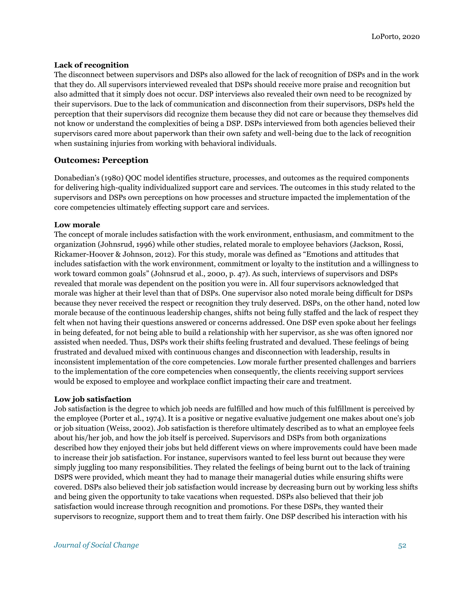#### **Lack of recognition**

The disconnect between supervisors and DSPs also allowed for the lack of recognition of DSPs and in the work that they do. All supervisors interviewed revealed that DSPs should receive more praise and recognition but also admitted that it simply does not occur. DSP interviews also revealed their own need to be recognized by their supervisors. Due to the lack of communication and disconnection from their supervisors, DSPs held the perception that their supervisors did recognize them because they did not care or because they themselves did not know or understand the complexities of being a DSP. DSPs interviewed from both agencies believed their supervisors cared more about paperwork than their own safety and well-being due to the lack of recognition when sustaining injuries from working with behavioral individuals.

## **Outcomes: Perception**

Donabedian's (1980) QOC model identifies structure, processes, and outcomes as the required components for delivering high-quality individualized support care and services. The outcomes in this study related to the supervisors and DSPs own perceptions on how processes and structure impacted the implementation of the core competencies ultimately effecting support care and services.

#### **Low morale**

The concept of morale includes satisfaction with the work environment, enthusiasm, and commitment to the organization (Johnsrud, 1996) while other studies, related morale to employee behaviors (Jackson, Rossi, Rickamer-Hoover & Johnson, 2012). For this study, morale was defined as "Emotions and attitudes that includes satisfaction with the work environment, commitment or loyalty to the institution and a willingness to work toward common goals" (Johnsrud et al., 2000, p. 47). As such, interviews of supervisors and DSPs revealed that morale was dependent on the position you were in. All four supervisors acknowledged that morale was higher at their level than that of DSPs. One supervisor also noted morale being difficult for DSPs because they never received the respect or recognition they truly deserved. DSPs, on the other hand, noted low morale because of the continuous leadership changes, shifts not being fully staffed and the lack of respect they felt when not having their questions answered or concerns addressed. One DSP even spoke about her feelings in being defeated, for not being able to build a relationship with her supervisor, as she was often ignored nor assisted when needed. Thus, DSPs work their shifts feeling frustrated and devalued. These feelings of being frustrated and devalued mixed with continuous changes and disconnection with leadership, results in inconsistent implementation of the core competencies. Low morale further presented challenges and barriers to the implementation of the core competencies when consequently, the clients receiving support services would be exposed to employee and workplace conflict impacting their care and treatment.

#### **Low job satisfaction**

Job satisfaction is the degree to which job needs are fulfilled and how much of this fulfillment is perceived by the employee (Porter et al., 1974). It is a positive or negative evaluative judgement one makes about one's job or job situation (Weiss, 2002). Job satisfaction is therefore ultimately described as to what an employee feels about his/her job, and how the job itself is perceived. Supervisors and DSPs from both organizations described how they enjoyed their jobs but held different views on where improvements could have been made to increase their job satisfaction. For instance, supervisors wanted to feel less burnt out because they were simply juggling too many responsibilities. They related the feelings of being burnt out to the lack of training DSPS were provided, which meant they had to manage their managerial duties while ensuring shifts were covered. DSPs also believed their job satisfaction would increase by decreasing burn out by working less shifts and being given the opportunity to take vacations when requested. DSPs also believed that their job satisfaction would increase through recognition and promotions. For these DSPs, they wanted their supervisors to recognize, support them and to treat them fairly. One DSP described his interaction with his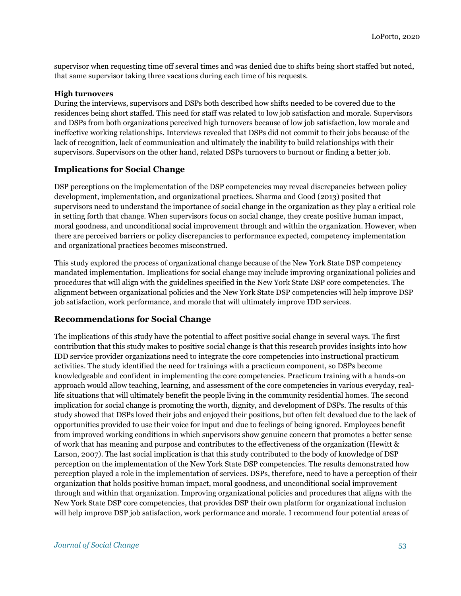supervisor when requesting time off several times and was denied due to shifts being short staffed but noted, that same supervisor taking three vacations during each time of his requests.

## **High turnovers**

During the interviews, supervisors and DSPs both described how shifts needed to be covered due to the residences being short staffed. This need for staff was related to low job satisfaction and morale. Supervisors and DSPs from both organizations perceived high turnovers because of low job satisfaction, low morale and ineffective working relationships. Interviews revealed that DSPs did not commit to their jobs because of the lack of recognition, lack of communication and ultimately the inability to build relationships with their supervisors. Supervisors on the other hand, related DSPs turnovers to burnout or finding a better job.

# **Implications for Social Change**

DSP perceptions on the implementation of the DSP competencies may reveal discrepancies between policy development, implementation, and organizational practices. Sharma and Good (2013) posited that supervisors need to understand the importance of social change in the organization as they play a critical role in setting forth that change. When supervisors focus on social change, they create positive human impact, moral goodness, and unconditional social improvement through and within the organization. However, when there are perceived barriers or policy discrepancies to performance expected, competency implementation and organizational practices becomes misconstrued.

This study explored the process of organizational change because of the New York State DSP competency mandated implementation. Implications for social change may include improving organizational policies and procedures that will align with the guidelines specified in the New York State DSP core competencies. The alignment between organizational policies and the New York State DSP competencies will help improve DSP job satisfaction, work performance, and morale that will ultimately improve IDD services.

# **Recommendations for Social Change**

The implications of this study have the potential to affect positive social change in several ways. The first contribution that this study makes to positive social change is that this research provides insights into how IDD service provider organizations need to integrate the core competencies into instructional practicum activities. The study identified the need for trainings with a practicum component, so DSPs become knowledgeable and confident in implementing the core competencies. Practicum training with a hands-on approach would allow teaching, learning, and assessment of the core competencies in various everyday, reallife situations that will ultimately benefit the people living in the community residential homes. The second implication for social change is promoting the worth, dignity, and development of DSPs. The results of this study showed that DSPs loved their jobs and enjoyed their positions, but often felt devalued due to the lack of opportunities provided to use their voice for input and due to feelings of being ignored. Employees benefit from improved working conditions in which supervisors show genuine concern that promotes a better sense of work that has meaning and purpose and contributes to the effectiveness of the organization (Hewitt & Larson, 2007). The last social implication is that this study contributed to the body of knowledge of DSP perception on the implementation of the New York State DSP competencies. The results demonstrated how perception played a role in the implementation of services. DSPs, therefore, need to have a perception of their organization that holds positive human impact, moral goodness, and unconditional social improvement through and within that organization. Improving organizational policies and procedures that aligns with the New York State DSP core competencies, that provides DSP their own platform for organizational inclusion will help improve DSP job satisfaction, work performance and morale. I recommend four potential areas of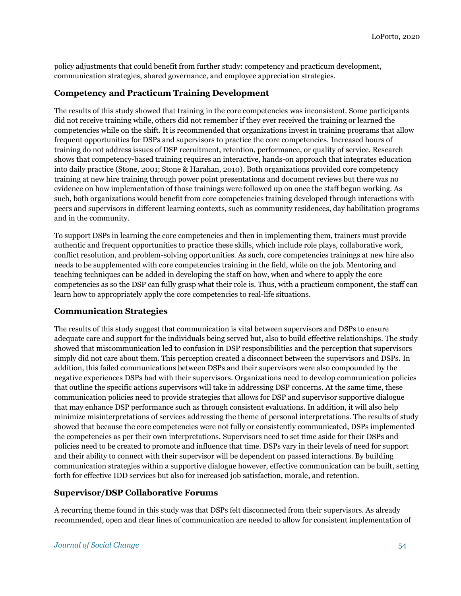policy adjustments that could benefit from further study: competency and practicum development, communication strategies, shared governance, and employee appreciation strategies.

# **Competency and Practicum Training Development**

The results of this study showed that training in the core competencies was inconsistent. Some participants did not receive training while, others did not remember if they ever received the training or learned the competencies while on the shift. It is recommended that organizations invest in training programs that allow frequent opportunities for DSPs and supervisors to practice the core competencies. Increased hours of training do not address issues of DSP recruitment, retention, performance, or quality of service. Research shows that competency-based training requires an interactive, hands-on approach that integrates education into daily practice (Stone, 2001; Stone & Harahan, 2010). Both organizations provided core competency training at new hire training through power point presentations and document reviews but there was no evidence on how implementation of those trainings were followed up on once the staff begun working. As such, both organizations would benefit from core competencies training developed through interactions with peers and supervisors in different learning contexts, such as community residences, day habilitation programs and in the community.

To support DSPs in learning the core competencies and then in implementing them, trainers must provide authentic and frequent opportunities to practice these skills, which include role plays, collaborative work, conflict resolution, and problem-solving opportunities. As such, core competencies trainings at new hire also needs to be supplemented with core competencies training in the field, while on the job. Mentoring and teaching techniques can be added in developing the staff on how, when and where to apply the core competencies as so the DSP can fully grasp what their role is. Thus, with a practicum component, the staff can learn how to appropriately apply the core competencies to real-life situations.

# **Communication Strategies**

The results of this study suggest that communication is vital between supervisors and DSPs to ensure adequate care and support for the individuals being served but, also to build effective relationships. The study showed that miscommunication led to confusion in DSP responsibilities and the perception that supervisors simply did not care about them. This perception created a disconnect between the supervisors and DSPs. In addition, this failed communications between DSPs and their supervisors were also compounded by the negative experiences DSPs had with their supervisors. Organizations need to develop communication policies that outline the specific actions supervisors will take in addressing DSP concerns. At the same time, these communication policies need to provide strategies that allows for DSP and supervisor supportive dialogue that may enhance DSP performance such as through consistent evaluations. In addition, it will also help minimize misinterpretations of services addressing the theme of personal interpretations. The results of study showed that because the core competencies were not fully or consistently communicated, DSPs implemented the competencies as per their own interpretations. Supervisors need to set time aside for their DSPs and policies need to be created to promote and influence that time. DSPs vary in their levels of need for support and their ability to connect with their supervisor will be dependent on passed interactions. By building communication strategies within a supportive dialogue however, effective communication can be built, setting forth for effective IDD services but also for increased job satisfaction, morale, and retention.

# **Supervisor/DSP Collaborative Forums**

A recurring theme found in this study was that DSPs felt disconnected from their supervisors. As already recommended, open and clear lines of communication are needed to allow for consistent implementation of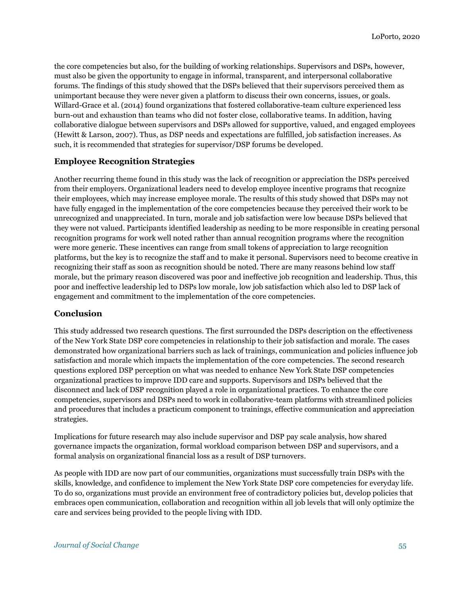the core competencies but also, for the building of working relationships. Supervisors and DSPs, however, must also be given the opportunity to engage in informal, transparent, and interpersonal collaborative forums. The findings of this study showed that the DSPs believed that their supervisors perceived them as unimportant because they were never given a platform to discuss their own concerns, issues, or goals. Willard-Grace et al. (2014) found organizations that fostered collaborative-team culture experienced less burn-out and exhaustion than teams who did not foster close, collaborative teams. In addition, having collaborative dialogue between supervisors and DSPs allowed for supportive, valued, and engaged employees (Hewitt & Larson, 2007). Thus, as DSP needs and expectations are fulfilled, job satisfaction increases. As such, it is recommended that strategies for supervisor/DSP forums be developed.

# **Employee Recognition Strategies**

Another recurring theme found in this study was the lack of recognition or appreciation the DSPs perceived from their employers. Organizational leaders need to develop employee incentive programs that recognize their employees, which may increase employee morale. The results of this study showed that DSPs may not have fully engaged in the implementation of the core competencies because they perceived their work to be unrecognized and unappreciated. In turn, morale and job satisfaction were low because DSPs believed that they were not valued. Participants identified leadership as needing to be more responsible in creating personal recognition programs for work well noted rather than annual recognition programs where the recognition were more generic. These incentives can range from small tokens of appreciation to large recognition platforms, but the key is to recognize the staff and to make it personal. Supervisors need to become creative in recognizing their staff as soon as recognition should be noted. There are many reasons behind low staff morale, but the primary reason discovered was poor and ineffective job recognition and leadership. Thus, this poor and ineffective leadership led to DSPs low morale, low job satisfaction which also led to DSP lack of engagement and commitment to the implementation of the core competencies.

#### **Conclusion**

This study addressed two research questions. The first surrounded the DSPs description on the effectiveness of the New York State DSP core competencies in relationship to their job satisfaction and morale. The cases demonstrated how organizational barriers such as lack of trainings, communication and policies influence job satisfaction and morale which impacts the implementation of the core competencies. The second research questions explored DSP perception on what was needed to enhance New York State DSP competencies organizational practices to improve IDD care and supports. Supervisors and DSPs believed that the disconnect and lack of DSP recognition played a role in organizational practices. To enhance the core competencies, supervisors and DSPs need to work in collaborative-team platforms with streamlined policies and procedures that includes a practicum component to trainings, effective communication and appreciation strategies.

Implications for future research may also include supervisor and DSP pay scale analysis, how shared governance impacts the organization, formal workload comparison between DSP and supervisors, and a formal analysis on organizational financial loss as a result of DSP turnovers.

As people with IDD are now part of our communities, organizations must successfully train DSPs with the skills, knowledge, and confidence to implement the New York State DSP core competencies for everyday life. To do so, organizations must provide an environment free of contradictory policies but, develop policies that embraces open communication, collaboration and recognition within all job levels that will only optimize the care and services being provided to the people living with IDD.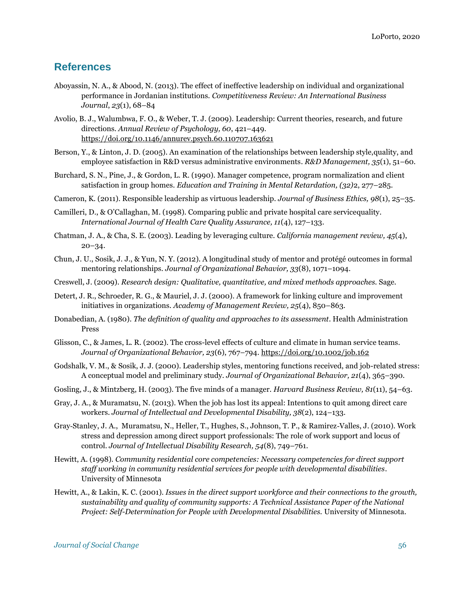# **References**

- Aboyassin, N. A., & Abood, N. (2013). The effect of ineffective leadership on individual and organizational performance in Jordanian institutions. *Competitiveness Review: An International Business Journal*, *23*(1), 68–84
- Avolio, B. J., Walumbwa, F. O., & Weber, T. J. (2009). Leadership: Current theories, research, and future directions. *Annual Review of Psychology, 60*, 421–449. <https://doi.org/10.1146/annurev.psych.60.110707.163621>
- Berson, Y., & Linton, J. D. (2005). An examination of the relationships between leadership style,quality, and employee satisfaction in R&D versus administrative environments*. R&D Management, 35*(1), 51–60.
- Burchard, S. N., Pine, J., & Gordon, L. R. (1990). Manager competence, program normalization and client satisfaction in group homes. *Education and Training in Mental Retardation, (32)*2, 277–285.
- Cameron, K. (2011). Responsible leadership as virtuous leadership. *Journal of Business Ethics, 98*(1), 25–35.
- Camilleri, D., & O'Callaghan, M. (1998). Comparing public and private hospital care servicequality. *International Journal of Health Care Quality Assurance, 11*(4), 127–133.
- Chatman, J. A., & Cha, S. E. (2003). Leading by leveraging culture. *California management review, 45*(4), 20–34.
- Chun, J. U., Sosik, J. J., & Yun, N. Y. (2012). A longitudinal study of mentor and protégé outcomes in formal mentoring relationships. *Journal of Organizational Behavior, 33*(8), 1071–1094.
- Creswell, J. (2009). *Research design: Qualitative, quantitative, and mixed methods approaches.* Sage.
- Detert, J. R., Schroeder, R. G., & Mauriel, J. J. (2000). A framework for linking culture and improvement initiatives in organizations. *Academy of Management Review, 25*(4), 850–863.
- Donabedian, A. (1980). *The definition of quality and approaches to its assessment*. Health Administration Press
- Glisson, C., & James, L. R. (2002). The cross-level effects of culture and climate in human service teams. *Journal of Organizational Behavior, 23*(6), 767–794.<https://doi.org/10.1002/job.162>
- Godshalk, V. M., & Sosik, J. J. (2000). Leadership styles, mentoring functions received, and job-related stress: A conceptual model and preliminary study. *Journal of Organizational Behavior, 21*(4), 365–390.
- Gosling, J., & Mintzberg, H. (2003). The five minds of a manager. *Harvard Business Review, 81*(11), 54–63.
- Gray, J. A., & Muramatsu, N. (2013). When the job has lost its appeal: Intentions to quit among direct care workers. *Journal of Intellectual and Developmental Disability, 38*(2), 124–133.
- Gray-Stanley, J. A., Muramatsu, N., Heller, T., Hughes, S., Johnson, T. P., & Ramirez-Valles, J. (2010). Work stress and depression among direct support professionals: The role of work support and locus of control. *Journal of Intellectual Disability Research, 54*(8), 749–761.
- Hewitt, A. (1998). *Community residential core competencies: Necessary competencies for direct support staff working in community residential services for people with developmental disabilities*. University of Minnesota
- Hewitt, A., & Lakin, K. C. (2001). *Issues in the direct support workforce and their connections to the growth, sustainability and quality of community supports: A Technical Assistance Paper of the National Project: Self-Determination for People with Developmental Disabilities.* University of Minnesota.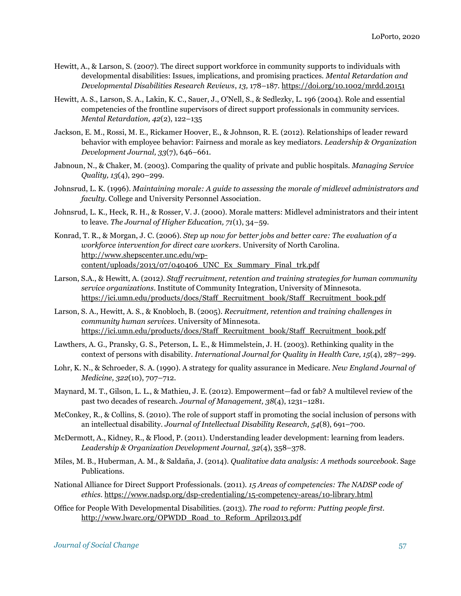- Hewitt, A., & Larson, S. (2007). The direct support workforce in community supports to individuals with developmental disabilities: Issues, implications, and promising practices. *Mental Retardation and Developmental Disabilities Research Reviews*, *13,* 178–187.<https://doi.org/10.1002/mrdd.20151>
- Hewitt, A. S., Larson, S. A., Lakin, K. C., Sauer, J., O'Nell, S., & Sedlezky, L. 196 (2004). Role and essential competencies of the frontline supervisors of direct support professionals in community services. *Mental Retardation, 42*(2), 122–135
- Jackson, E. M., Rossi, M. E., Rickamer Hoover, E., & Johnson, R. E. (2012). Relationships of leader reward behavior with employee behavior: Fairness and morale as key mediators. *Leadership & Organization Development Journal, 33*(7), 646–661.
- Jabnoun, N., & Chaker, M. (2003). Comparing the quality of private and public hospitals. *Managing Service Quality, 13*(4), 290–299.
- Johnsrud, L. K. (1996). *Maintaining morale: A guide to assessing the morale of midlevel administrators and faculty*. College and University Personnel Association.
- Johnsrud, L. K., Heck, R. H., & Rosser, V. J. (2000). Morale matters: Midlevel administrators and their intent to leave. *The Journal of Higher Education, 71*(1), 34–59.
- Konrad, T. R., & Morgan, J. C. (2006). *Step up now for better jobs and better care: The evaluation of a workforce intervention for direct care workers*. University of North Carolina. [http://www.shepscenter.unc.edu/wp](http://www.shepscenter.unc.edu/wp-content/uploads/2013/07/040406_UNC_Ex_Summary_Final_trk.pdf)[content/uploads/2013/07/040406\\_UNC\\_Ex\\_Summary\\_Final\\_trk.pdf](http://www.shepscenter.unc.edu/wp-content/uploads/2013/07/040406_UNC_Ex_Summary_Final_trk.pdf)
- Larson, S.A., & Hewitt, A. (2012*). Staff recruitment, retention and training strategies for human community service organizations*. Institute of Community Integration, University of Minnesota. [https://ici.umn.edu/products/docs/Staff\\_Recruitment\\_book/Staff\\_Recruitment\\_book.pdf](https://ici.umn.edu/products/docs/Staff_Recruitment_book/Staff_Recruitment_book.pdf)
- Larson, S. A., Hewitt, A. S., & Knobloch, B. (2005). *Recruitment, retention and training challenges in community human services*. University of Minnesota. [https://ici.umn.edu/products/docs/Staff\\_Recruitment\\_book/Staff\\_Recruitment\\_book.pdf](https://ici.umn.edu/products/docs/Staff_Recruitment_book/Staff_Recruitment_book.pdf)
- Lawthers, A. G., Pransky, G. S., Peterson, L. E., & Himmelstein, J. H. (2003). Rethinking quality in the context of persons with disability. *International Journal for Quality in Health Care, 15*(4), 287–299.
- Lohr, K. N., & Schroeder, S. A. (1990). A strategy for quality assurance in Medicare. *New England Journal of Medicine, 322*(10), 707–712.
- Maynard, M. T., Gilson, L. L., & Mathieu, J. E. (2012). Empowerment—fad or fab? A multilevel review of the past two decades of research. *Journal of Management, 38*(4), 1231–1281.
- McConkey, R., & Collins, S. (2010). The role of support staff in promoting the social inclusion of persons with an intellectual disability. *Journal of Intellectual Disability Research, 54*(8), 691–700.
- McDermott, A., Kidney, R., & Flood, P. (2011). Understanding leader development: learning from leaders. *Leadership & Organization Development Journal, 32*(4), 358–378.
- Miles, M. B., Huberman, A. M., & Saldaña, J. (2014). *Qualitative data analysis: A methods sourcebook*. Sage Publications.
- National Alliance for Direct Support Professionals. (2011). *15 Areas of competencies: The NADSP code of ethics.* <https://www.nadsp.org/dsp-credentialing/15-competency-areas/10-library.html>
- Office for People With Developmental Disabilities. (2013). *The road to reform: Putting people first.*  [http://www.lwarc.org/OPWDD\\_Road\\_to\\_Reform\\_April2013.pdf](http://www.lwarc.org/OPWDD_Road_to_Reform_April2013.pdf)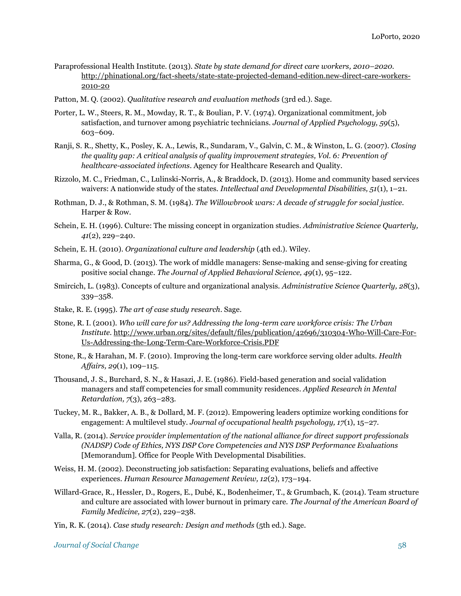- Paraprofessional Health Institute. (2013). *State by state demand for direct care workers, 2010–2020.*  [http://phinational.org/fact-sheets/state-state-projected-demand-edition.new-direct-care-workers-](http://phinational.org/fact-sheets/state-state-projected-demand-edition.new-direct-care-workers-2010-20)[2010-20](http://phinational.org/fact-sheets/state-state-projected-demand-edition.new-direct-care-workers-2010-20)
- Patton, M. Q. (2002). *Qualitative research and evaluation methods* (3rd ed.). Sage.
- Porter, L. W., Steers, R. M., Mowday, R. T., & Boulian, P. V. (1974). Organizational commitment, job satisfaction, and turnover among psychiatric technicians. *Journal of Applied Psychology, 59*(5), 603–609.
- Ranji, S. R., Shetty, K., Posley, K. A., Lewis, R., Sundaram, V., Galvin, C. M., & Winston, L. G. (2007). *Closing the quality gap: A critical analysis of quality improvement strategies, Vol. 6: Prevention of healthcare-associated infections*. Agency for Healthcare Research and Quality.
- Rizzolo, M. C., Friedman, C., Lulinski-Norris, A., & Braddock, D. (2013). Home and community based services waivers: A nationwide study of the states. *Intellectual and Developmental Disabilities, 51*(1), 1–21.
- Rothman, D. J., & Rothman, S. M. (1984). *The Willowbrook wars: A decade of struggle for social justice.*  Harper & Row.
- Schein, E. H. (1996). Culture: The missing concept in organization studies. *Administrative Science Quarterly, 41*(2), 229–240.
- Schein, E. H. (2010). *Organizational culture and leadership* (4th ed.). Wiley.
- Sharma, G., & Good, D. (2013). The work of middle managers: Sense-making and sense-giving for creating positive social change. *The Journal of Applied Behavioral Science, 49*(1), 95–122.
- Smircich, L. (1983). Concepts of culture and organizational analysis. *Administrative Science Quarterly, 28*(3), 339–358.
- Stake, R. E. (1995). *The art of case study research*. Sage.
- Stone, R. I. (2001). *Who will care for us? Addressing the long-term care workforce crisis: The Urban Institute.* [http://www.urban.org/sites/default/files/publication/42696/310304-Who-Will-Care-For-](http://www.urban.org/sites/default/files/publication/42696/310304-Who-Will-Care-For-Us-Addressing-the-Long-Term-Care-Workforce-Crisis.PDF)[Us-Addressing-the-Long-Term-Care-Workforce-Crisis.PDF](http://www.urban.org/sites/default/files/publication/42696/310304-Who-Will-Care-For-Us-Addressing-the-Long-Term-Care-Workforce-Crisis.PDF)
- Stone, R., & Harahan, M. F. (2010). Improving the long-term care workforce serving older adults. *Health Affairs, 29*(1), 109–115.
- Thousand, J. S., Burchard, S. N., & Hasazi, J. E. (1986). Field-based generation and social validation managers and staff competencies for small community residences. *Applied Research in Mental Retardation, 7*(3), 263–283.
- Tuckey, M. R., Bakker, A. B., & Dollard, M. F. (2012). Empowering leaders optimize working conditions for engagement: A multilevel study. *Journal of occupational health psychology, 17*(1), 15–27.
- Valla, R. (2014). *Service provider implementation of the national alliance for direct support professionals (NADSP) Code of Ethics, NYS DSP Core Competencies and NYS DSP Performance Evaluations* [Memorandum]. Office for People With Developmental Disabilities.
- Weiss, H. M. (2002). Deconstructing job satisfaction: Separating evaluations, beliefs and affective experiences. *Human Resource Management Review, 12*(2), 173–194.
- Willard-Grace, R., Hessler, D., Rogers, E., Dubé, K., Bodenheimer, T., & Grumbach, K. (2014). Team structure and culture are associated with lower burnout in primary care. *The Journal of the American Board of Family Medicine, 27*(2), 229–238.
- Yin, R. K. (2014). *Case study research: Design and methods* (5th ed.). Sage.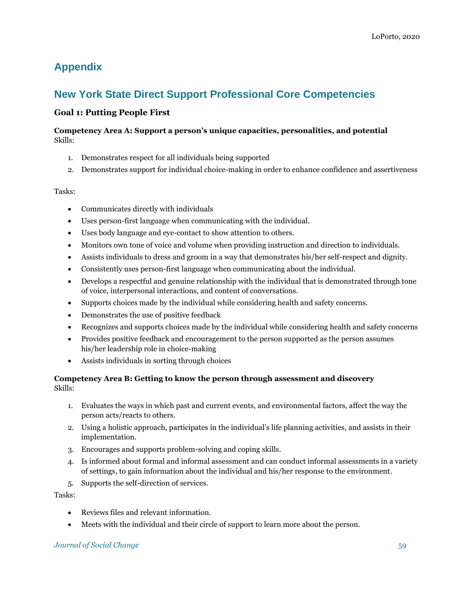# **Appendix**

# **New York State Direct Support Professional Core Competencies**

# **Goal 1: Putting People First**

# **Competency Area A: Support a person's unique capacities, personalities, and potential**  Skills:

- 1. Demonstrates respect for all individuals being supported
- 2. Demonstrates support for individual choice-making in order to enhance confidence and assertiveness

# Tasks:

- Communicates directly with individuals
- Uses person-first language when communicating with the individual.
- Uses body language and eye-contact to show attention to others.
- Monitors own tone of voice and volume when providing instruction and direction to individuals.
- Assists individuals to dress and groom in a way that demonstrates his/her self-respect and dignity.
- Consistently uses person-first language when communicating about the individual.
- Develops a respectful and genuine relationship with the individual that is demonstrated through tone of voice, interpersonal interactions, and content of conversations.
- Supports choices made by the individual while considering health and safety concerns.
- Demonstrates the use of positive feedback
- Recognizes and supports choices made by the individual while considering health and safety concerns
- Provides positive feedback and encouragement to the person supported as the person assumes his/her leadership role in choice-making
- Assists individuals in sorting through choices

# **Competency Area B: Getting to know the person through assessment and discovery** Skills:

- 1. Evaluates the ways in which past and current events, and environmental factors, affect the way the person acts/reacts to others.
- 2. Using a holistic approach, participates in the individual's life planning activities, and assists in their implementation.
- 3. Encourages and supports problem-solving and coping skills.
- 4. Is informed about formal and informal assessment and can conduct informal assessments in a variety of settings, to gain information about the individual and his/her response to the environment.
- 5. Supports the self-direction of services.

Tasks:

- Reviews files and relevant information.
- Meets with the individual and their circle of support to learn more about the person.

# *Journal of Social Change* 59 **59**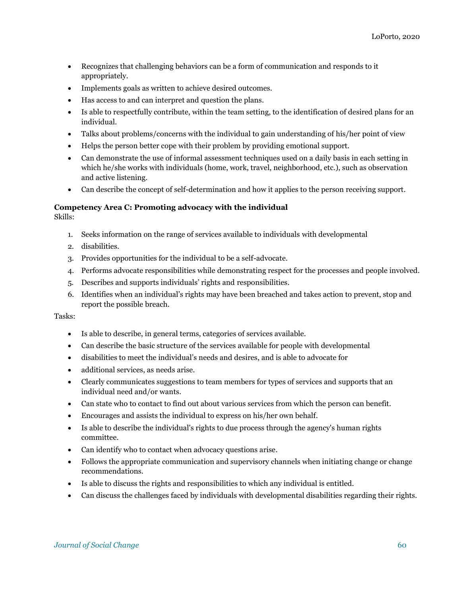- Recognizes that challenging behaviors can be a form of communication and responds to it appropriately.
- Implements goals as written to achieve desired outcomes.
- Has access to and can interpret and question the plans.
- Is able to respectfully contribute, within the team setting, to the identification of desired plans for an individual.
- Talks about problems/concerns with the individual to gain understanding of his/her point of view
- Helps the person better cope with their problem by providing emotional support.
- Can demonstrate the use of informal assessment techniques used on a daily basis in each setting in which he/she works with individuals (home, work, travel, neighborhood, etc.), such as observation and active listening.
- Can describe the concept of self-determination and how it applies to the person receiving support.

# **Competency Area C: Promoting advocacy with the individual**

Skills:

- 1. Seeks information on the range of services available to individuals with developmental
- 2. disabilities.
- 3. Provides opportunities for the individual to be a self-advocate.
- 4. Performs advocate responsibilities while demonstrating respect for the processes and people involved.
- 5. Describes and supports individuals' rights and responsibilities.
- 6. Identifies when an individual's rights may have been breached and takes action to prevent, stop and report the possible breach.

- Is able to describe, in general terms, categories of services available.
- Can describe the basic structure of the services available for people with developmental
- disabilities to meet the individual's needs and desires, and is able to advocate for
- additional services, as needs arise.
- Clearly communicates suggestions to team members for types of services and supports that an individual need and/or wants.
- Can state who to contact to find out about various services from which the person can benefit.
- Encourages and assists the individual to express on his/her own behalf.
- Is able to describe the individual's rights to due process through the agency's human rights committee.
- Can identify who to contact when advocacy questions arise.
- Follows the appropriate communication and supervisory channels when initiating change or change recommendations.
- Is able to discuss the rights and responsibilities to which any individual is entitled.
- Can discuss the challenges faced by individuals with developmental disabilities regarding their rights.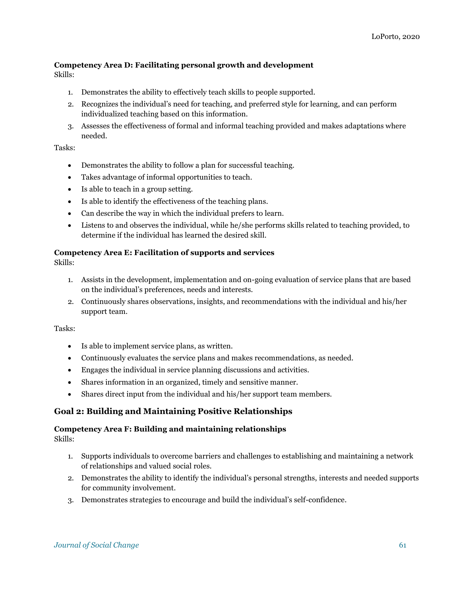# **Competency Area D: Facilitating personal growth and development**

Skills:

- 1. Demonstrates the ability to effectively teach skills to people supported.
- 2. Recognizes the individual's need for teaching, and preferred style for learning, and can perform individualized teaching based on this information.
- 3. Assesses the effectiveness of formal and informal teaching provided and makes adaptations where needed.

### Tasks:

- Demonstrates the ability to follow a plan for successful teaching.
- Takes advantage of informal opportunities to teach.
- Is able to teach in a group setting.
- Is able to identify the effectiveness of the teaching plans.
- Can describe the way in which the individual prefers to learn.
- Listens to and observes the individual, while he/she performs skills related to teaching provided, to determine if the individual has learned the desired skill.

## **Competency Area E: Facilitation of supports and services**

Skills:

- 1. Assists in the development, implementation and on-going evaluation of service plans that are based on the individual's preferences, needs and interests.
- 2. Continuously shares observations, insights, and recommendations with the individual and his/her support team.

#### Tasks:

- Is able to implement service plans, as written.
- Continuously evaluates the service plans and makes recommendations, as needed.
- Engages the individual in service planning discussions and activities.
- Shares information in an organized, timely and sensitive manner.
- Shares direct input from the individual and his/her support team members.

# **Goal 2: Building and Maintaining Positive Relationships**

# **Competency Area F: Building and maintaining relationships**

Skills:

- 1. Supports individuals to overcome barriers and challenges to establishing and maintaining a network of relationships and valued social roles.
- 2. Demonstrates the ability to identify the individual's personal strengths, interests and needed supports for community involvement.
- 3. Demonstrates strategies to encourage and build the individual's self-confidence.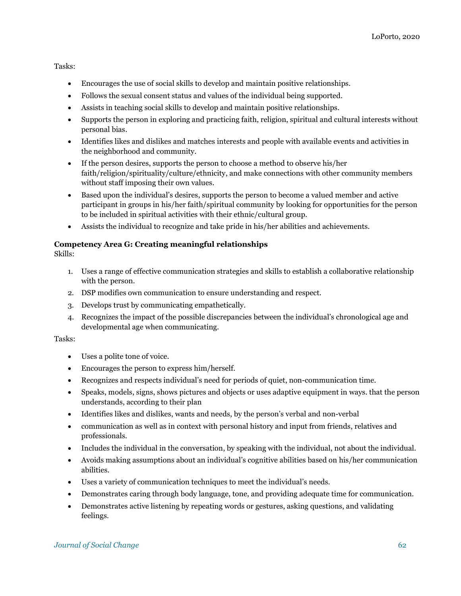Tasks:

- Encourages the use of social skills to develop and maintain positive relationships.
- Follows the sexual consent status and values of the individual being supported.
- Assists in teaching social skills to develop and maintain positive relationships.
- Supports the person in exploring and practicing faith, religion, spiritual and cultural interests without personal bias.
- Identifies likes and dislikes and matches interests and people with available events and activities in the neighborhood and community.
- If the person desires, supports the person to choose a method to observe his/her faith/religion/spirituality/culture/ethnicity, and make connections with other community members without staff imposing their own values.
- Based upon the individual's desires, supports the person to become a valued member and active participant in groups in his/her faith/spiritual community by looking for opportunities for the person to be included in spiritual activities with their ethnic/cultural group.
- Assists the individual to recognize and take pride in his/her abilities and achievements.

# **Competency Area G: Creating meaningful relationships**

Skills:

- 1. Uses a range of effective communication strategies and skills to establish a collaborative relationship with the person.
- 2. DSP modifies own communication to ensure understanding and respect.
- 3. Develops trust by communicating empathetically.
- 4. Recognizes the impact of the possible discrepancies between the individual's chronological age and developmental age when communicating.

- Uses a polite tone of voice.
- Encourages the person to express him/herself.
- Recognizes and respects individual's need for periods of quiet, non-communication time.
- Speaks, models, signs, shows pictures and objects or uses adaptive equipment in ways. that the person understands, according to their plan
- Identifies likes and dislikes, wants and needs, by the person's verbal and non-verbal
- communication as well as in context with personal history and input from friends, relatives and professionals.
- Includes the individual in the conversation, by speaking with the individual, not about the individual.
- Avoids making assumptions about an individual's cognitive abilities based on his/her communication abilities.
- Uses a variety of communication techniques to meet the individual's needs.
- Demonstrates caring through body language, tone, and providing adequate time for communication.
- Demonstrates active listening by repeating words or gestures, asking questions, and validating feelings.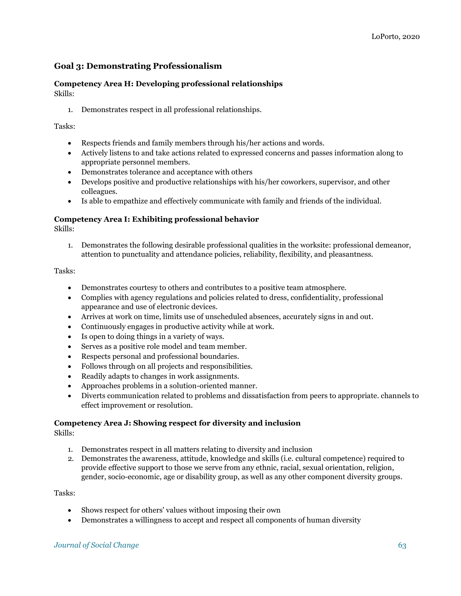# **Goal 3: Demonstrating Professionalism**

#### **Competency Area H: Developing professional relationships** Skills:

1. Demonstrates respect in all professional relationships.

# Tasks:

- Respects friends and family members through his/her actions and words.
- Actively listens to and take actions related to expressed concerns and passes information along to appropriate personnel members.
- Demonstrates tolerance and acceptance with others
- Develops positive and productive relationships with his/her coworkers, supervisor, and other colleagues.
- Is able to empathize and effectively communicate with family and friends of the individual.

# **Competency Area I: Exhibiting professional behavior**

Skills:

1. Demonstrates the following desirable professional qualities in the worksite: professional demeanor, attention to punctuality and attendance policies, reliability, flexibility, and pleasantness.

Tasks:

- Demonstrates courtesy to others and contributes to a positive team atmosphere.
- Complies with agency regulations and policies related to dress, confidentiality, professional appearance and use of electronic devices.
- Arrives at work on time, limits use of unscheduled absences, accurately signs in and out.
- Continuously engages in productive activity while at work.
- Is open to doing things in a variety of ways.
- Serves as a positive role model and team member.
- Respects personal and professional boundaries.
- Follows through on all projects and responsibilities.
- Readily adapts to changes in work assignments.
- Approaches problems in a solution-oriented manner.
- Diverts communication related to problems and dissatisfaction from peers to appropriate. channels to effect improvement or resolution.

# **Competency Area J: Showing respect for diversity and inclusion**

Skills:

- 1. Demonstrates respect in all matters relating to diversity and inclusion
- 2. Demonstrates the awareness, attitude, knowledge and skills (i.e. cultural competence) required to provide effective support to those we serve from any ethnic, racial, sexual orientation, religion, gender, socio-economic, age or disability group, as well as any other component diversity groups.

- Shows respect for others' values without imposing their own
- Demonstrates a willingness to accept and respect all components of human diversity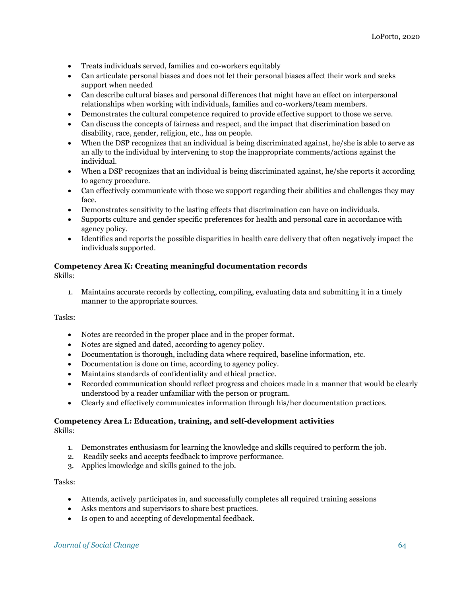- Treats individuals served, families and co-workers equitably
- Can articulate personal biases and does not let their personal biases affect their work and seeks support when needed
- Can describe cultural biases and personal differences that might have an effect on interpersonal relationships when working with individuals, families and co-workers/team members.
- Demonstrates the cultural competence required to provide effective support to those we serve.
- Can discuss the concepts of fairness and respect, and the impact that discrimination based on disability, race, gender, religion, etc., has on people.
- When the DSP recognizes that an individual is being discriminated against, he/she is able to serve as an ally to the individual by intervening to stop the inappropriate comments/actions against the individual.
- When a DSP recognizes that an individual is being discriminated against, he/she reports it according to agency procedure.
- Can effectively communicate with those we support regarding their abilities and challenges they may face.
- Demonstrates sensitivity to the lasting effects that discrimination can have on individuals.
- Supports culture and gender specific preferences for health and personal care in accordance with agency policy.
- Identifies and reports the possible disparities in health care delivery that often negatively impact the individuals supported.

## **Competency Area K: Creating meaningful documentation records**

Skills:

1. Maintains accurate records by collecting, compiling, evaluating data and submitting it in a timely manner to the appropriate sources.

Tasks:

- Notes are recorded in the proper place and in the proper format.
- Notes are signed and dated, according to agency policy.
- Documentation is thorough, including data where required, baseline information, etc.
- Documentation is done on time, according to agency policy.
- Maintains standards of confidentiality and ethical practice.
- Recorded communication should reflect progress and choices made in a manner that would be clearly understood by a reader unfamiliar with the person or program.
- Clearly and effectively communicates information through his/her documentation practices.

#### **Competency Area L: Education, training, and self-development activities** Skills:

- 1. Demonstrates enthusiasm for learning the knowledge and skills required to perform the job.
- 2. Readily seeks and accepts feedback to improve performance.
- 3. Applies knowledge and skills gained to the job.

- Attends, actively participates in, and successfully completes all required training sessions
- Asks mentors and supervisors to share best practices.
- Is open to and accepting of developmental feedback.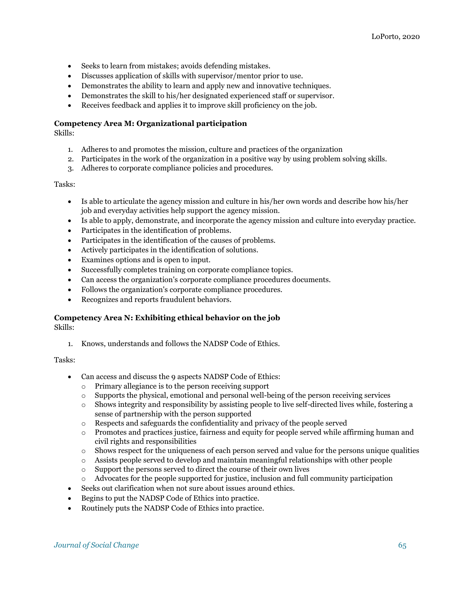- Seeks to learn from mistakes; avoids defending mistakes.
- Discusses application of skills with supervisor/mentor prior to use.
- Demonstrates the ability to learn and apply new and innovative techniques.
- Demonstrates the skill to his/her designated experienced staff or supervisor.
- Receives feedback and applies it to improve skill proficiency on the job.

#### **Competency Area M: Organizational participation**

Skills:

- 1. Adheres to and promotes the mission, culture and practices of the organization
- 2. Participates in the work of the organization in a positive way by using problem solving skills.
- 3. Adheres to corporate compliance policies and procedures.

#### Tasks:

- Is able to articulate the agency mission and culture in his/her own words and describe how his/her job and everyday activities help support the agency mission.
- Is able to apply, demonstrate, and incorporate the agency mission and culture into everyday practice.
- Participates in the identification of problems.
- Participates in the identification of the causes of problems.
- Actively participates in the identification of solutions.
- Examines options and is open to input.
- Successfully completes training on corporate compliance topics.
- Can access the organization's corporate compliance procedures documents.
- Follows the organization's corporate compliance procedures.
- Recognizes and reports fraudulent behaviors.

#### **Competency Area N: Exhibiting ethical behavior on the job**

Skills:

1. Knows, understands and follows the NADSP Code of Ethics.

- Can access and discuss the 9 aspects NADSP Code of Ethics:
	- o Primary allegiance is to the person receiving support
	- $\circ$  Supports the physical, emotional and personal well-being of the person receiving services
	- o Shows integrity and responsibility by assisting people to live self-directed lives while, fostering a sense of partnership with the person supported
	- o Respects and safeguards the confidentiality and privacy of the people served
	- o Promotes and practices justice, fairness and equity for people served while affirming human and civil rights and responsibilities
	- o Shows respect for the uniqueness of each person served and value for the persons unique qualities
	- o Assists people served to develop and maintain meaningful relationships with other people
	- o Support the persons served to direct the course of their own lives
	- o Advocates for the people supported for justice, inclusion and full community participation
- Seeks out clarification when not sure about issues around ethics.
- Begins to put the NADSP Code of Ethics into practice.
- Routinely puts the NADSP Code of Ethics into practice.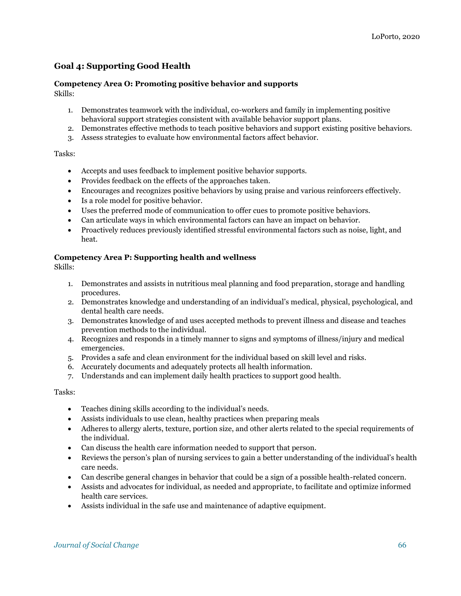# **Goal 4: Supporting Good Health**

# **Competency Area O: Promoting positive behavior and supports**

Skills:

- 1. Demonstrates teamwork with the individual, co-workers and family in implementing positive behavioral support strategies consistent with available behavior support plans.
- 2. Demonstrates effective methods to teach positive behaviors and support existing positive behaviors.
- 3. Assess strategies to evaluate how environmental factors affect behavior.

## Tasks:

- Accepts and uses feedback to implement positive behavior supports.
- Provides feedback on the effects of the approaches taken.
- Encourages and recognizes positive behaviors by using praise and various reinforcers effectively.
- Is a role model for positive behavior.
- Uses the preferred mode of communication to offer cues to promote positive behaviors.
- Can articulate ways in which environmental factors can have an impact on behavior.
- Proactively reduces previously identified stressful environmental factors such as noise, light, and heat.

## **Competency Area P: Supporting health and wellness**

Skills:

- 1. Demonstrates and assists in nutritious meal planning and food preparation, storage and handling procedures.
- 2. Demonstrates knowledge and understanding of an individual's medical, physical, psychological, and dental health care needs.
- 3. Demonstrates knowledge of and uses accepted methods to prevent illness and disease and teaches prevention methods to the individual.
- 4. Recognizes and responds in a timely manner to signs and symptoms of illness/injury and medical emergencies.
- 5. Provides a safe and clean environment for the individual based on skill level and risks.
- 6. Accurately documents and adequately protects all health information.
- 7. Understands and can implement daily health practices to support good health.

- Teaches dining skills according to the individual's needs.
- Assists individuals to use clean, healthy practices when preparing meals
- Adheres to allergy alerts, texture, portion size, and other alerts related to the special requirements of the individual.
- Can discuss the health care information needed to support that person.
- Reviews the person's plan of nursing services to gain a better understanding of the individual's health care needs.
- Can describe general changes in behavior that could be a sign of a possible health-related concern.
- Assists and advocates for individual, as needed and appropriate, to facilitate and optimize informed health care services.
- Assists individual in the safe use and maintenance of adaptive equipment.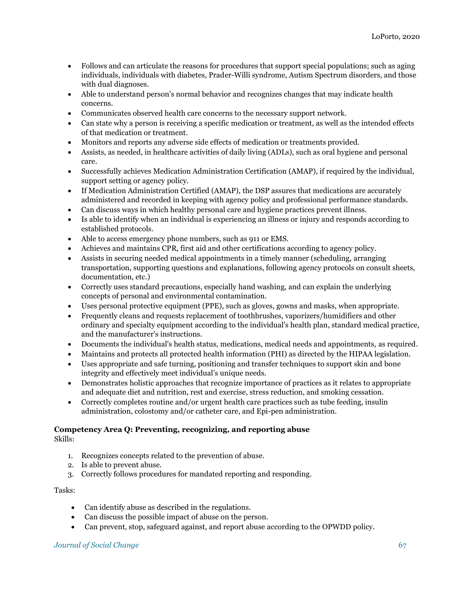- Follows and can articulate the reasons for procedures that support special populations; such as aging individuals, individuals with diabetes, Prader-Willi syndrome, Autism Spectrum disorders, and those with dual diagnoses.
- Able to understand person's normal behavior and recognizes changes that may indicate health concerns.
- Communicates observed health care concerns to the necessary support network.
- Can state why a person is receiving a specific medication or treatment, as well as the intended effects of that medication or treatment.
- Monitors and reports any adverse side effects of medication or treatments provided.
- Assists, as needed, in healthcare activities of daily living (ADLs), such as oral hygiene and personal care.
- Successfully achieves Medication Administration Certification (AMAP), if required by the individual, support setting or agency policy.
- If Medication Administration Certified (AMAP), the DSP assures that medications are accurately administered and recorded in keeping with agency policy and professional performance standards.
- Can discuss ways in which healthy personal care and hygiene practices prevent illness.
- Is able to identify when an individual is experiencing an illness or injury and responds according to established protocols.
- Able to access emergency phone numbers, such as 911 or EMS.
- Achieves and maintains CPR, first aid and other certifications according to agency policy.
- Assists in securing needed medical appointments in a timely manner (scheduling, arranging transportation, supporting questions and explanations, following agency protocols on consult sheets, documentation, etc.)
- Correctly uses standard precautions, especially hand washing, and can explain the underlying concepts of personal and environmental contamination.
- Uses personal protective equipment (PPE), such as gloves, gowns and masks, when appropriate.
- Frequently cleans and requests replacement of toothbrushes, vaporizers/humidifiers and other ordinary and specialty equipment according to the individual's health plan, standard medical practice, and the manufacturer's instructions.
- Documents the individual's health status, medications, medical needs and appointments, as required.
- Maintains and protects all protected health information (PHI) as directed by the HIPAA legislation.
- Uses appropriate and safe turning, positioning and transfer techniques to support skin and bone integrity and effectively meet individual's unique needs.
- Demonstrates holistic approaches that recognize importance of practices as it relates to appropriate and adequate diet and nutrition, rest and exercise, stress reduction, and smoking cessation.
- Correctly completes routine and/or urgent health care practices such as tube feeding, insulin administration, colostomy and/or catheter care, and Epi-pen administration.

# **Competency Area Q: Preventing, recognizing, and reporting abuse**

Skills:

- 1. Recognizes concepts related to the prevention of abuse.
- 2. Is able to prevent abuse.
- 3. Correctly follows procedures for mandated reporting and responding.

#### Tasks:

- Can identify abuse as described in the regulations.
- Can discuss the possible impact of abuse on the person.
- Can prevent, stop, safeguard against, and report abuse according to the OPWDD policy.

#### *Journal of Social Change* 67 **67**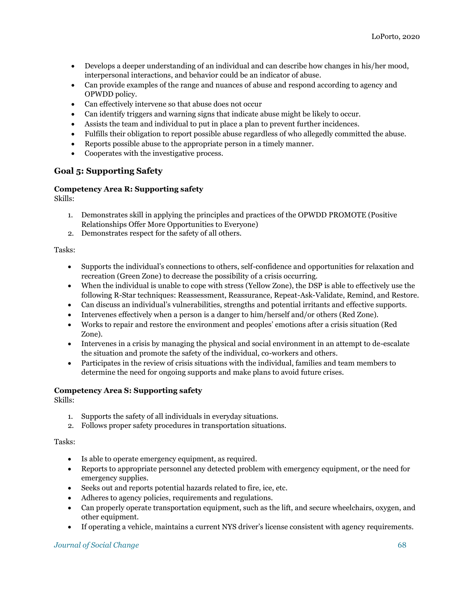- Develops a deeper understanding of an individual and can describe how changes in his/her mood, interpersonal interactions, and behavior could be an indicator of abuse.
- Can provide examples of the range and nuances of abuse and respond according to agency and OPWDD policy.
- Can effectively intervene so that abuse does not occur
- Can identify triggers and warning signs that indicate abuse might be likely to occur.
- Assists the team and individual to put in place a plan to prevent further incidences.
- Fulfills their obligation to report possible abuse regardless of who allegedly committed the abuse.
- Reports possible abuse to the appropriate person in a timely manner.
- Cooperates with the investigative process.

# **Goal 5: Supporting Safety**

## **Competency Area R: Supporting safety**

Skills:

- 1. Demonstrates skill in applying the principles and practices of the OPWDD PROMOTE (Positive Relationships Offer More Opportunities to Everyone)
- 2. Demonstrates respect for the safety of all others.

#### Tasks:

- Supports the individual's connections to others, self-confidence and opportunities for relaxation and recreation (Green Zone) to decrease the possibility of a crisis occurring.
- When the individual is unable to cope with stress (Yellow Zone), the DSP is able to effectively use the following R-Star techniques: Reassessment, Reassurance, Repeat-Ask-Validate, Remind, and Restore.
- Can discuss an individual's vulnerabilities, strengths and potential irritants and effective supports.
- Intervenes effectively when a person is a danger to him/herself and/or others (Red Zone).
- Works to repair and restore the environment and peoples' emotions after a crisis situation (Red Zone).
- Intervenes in a crisis by managing the physical and social environment in an attempt to de-escalate the situation and promote the safety of the individual, co-workers and others.
- Participates in the review of crisis situations with the individual, families and team members to determine the need for ongoing supports and make plans to avoid future crises.

# **Competency Area S: Supporting safety**

Skills:

- 1. Supports the safety of all individuals in everyday situations.
- 2. Follows proper safety procedures in transportation situations.

#### Tasks:

- Is able to operate emergency equipment, as required.
- Reports to appropriate personnel any detected problem with emergency equipment, or the need for emergency supplies.
- Seeks out and reports potential hazards related to fire, ice, etc.
- Adheres to agency policies, requirements and regulations.
- Can properly operate transportation equipment, such as the lift, and secure wheelchairs, oxygen, and other equipment.
- If operating a vehicle, maintains a current NYS driver's license consistent with agency requirements.

# *Journal of Social Change* 68 **68**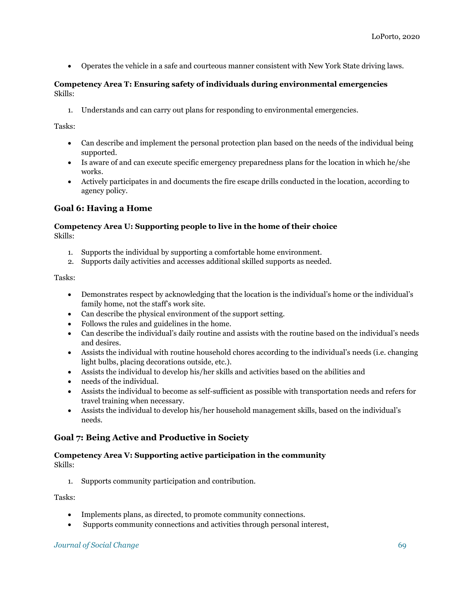Operates the vehicle in a safe and courteous manner consistent with New York State driving laws.

# **Competency Area T: Ensuring safety of individuals during environmental emergencies** Skills:

1. Understands and can carry out plans for responding to environmental emergencies.

Tasks:

- Can describe and implement the personal protection plan based on the needs of the individual being supported.
- Is aware of and can execute specific emergency preparedness plans for the location in which he/she works.
- Actively participates in and documents the fire escape drills conducted in the location, according to agency policy.

# **Goal 6: Having a Home**

## **Competency Area U: Supporting people to live in the home of their choice** Skills:

- 1. Supports the individual by supporting a comfortable home environment.
- 2. Supports daily activities and accesses additional skilled supports as needed.

Tasks:

- Demonstrates respect by acknowledging that the location is the individual's home or the individual's family home, not the staff's work site.
- Can describe the physical environment of the support setting.
- Follows the rules and guidelines in the home.
- Can describe the individual's daily routine and assists with the routine based on the individual's needs and desires.
- Assists the individual with routine household chores according to the individual's needs (i.e. changing light bulbs, placing decorations outside, etc.).
- Assists the individual to develop his/her skills and activities based on the abilities and
- needs of the individual.
- Assists the individual to become as self-sufficient as possible with transportation needs and refers for travel training when necessary.
- Assists the individual to develop his/her household management skills, based on the individual's needs.

# **Goal 7: Being Active and Productive in Society**

# **Competency Area V: Supporting active participation in the community** Skills:

1. Supports community participation and contribution.

- Implements plans, as directed, to promote community connections.
- Supports community connections and activities through personal interest,